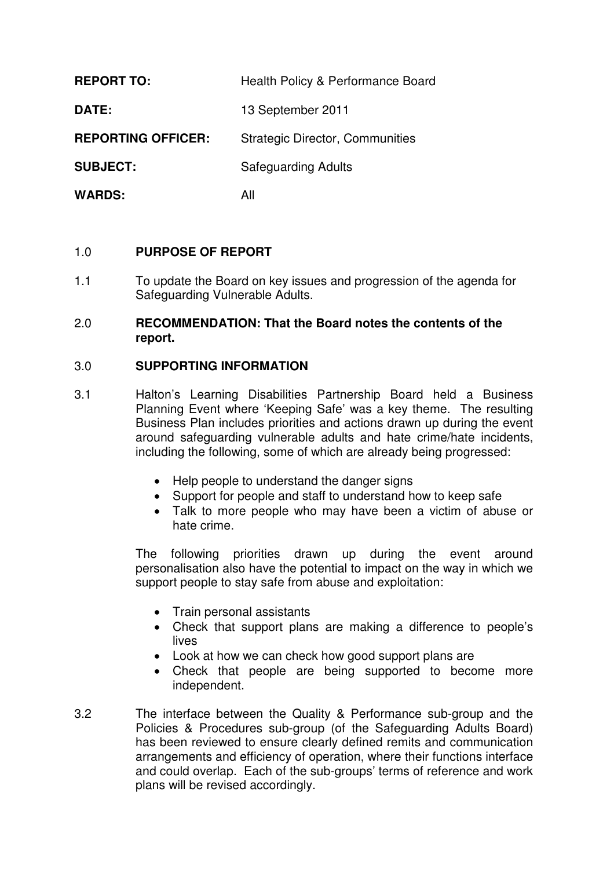| <b>REPORT TO:</b>         | Health Policy & Performance Board      |
|---------------------------|----------------------------------------|
| DATE:                     | 13 September 2011                      |
| <b>REPORTING OFFICER:</b> | <b>Strategic Director, Communities</b> |
| <b>SUBJECT:</b>           | <b>Safeguarding Adults</b>             |
| <b>WARDS:</b>             | All                                    |

## 1.0 **PURPOSE OF REPORT**

1.1 To update the Board on key issues and progression of the agenda for Safeguarding Vulnerable Adults.

### 2.0 **RECOMMENDATION: That the Board notes the contents of the report.**

## 3.0 **SUPPORTING INFORMATION**

- 3.1 Halton's Learning Disabilities Partnership Board held a Business Planning Event where 'Keeping Safe' was a key theme. The resulting Business Plan includes priorities and actions drawn up during the event around safeguarding vulnerable adults and hate crime/hate incidents, including the following, some of which are already being progressed:
	- Help people to understand the danger signs
	- Support for people and staff to understand how to keep safe
	- Talk to more people who may have been a victim of abuse or hate crime.

The following priorities drawn up during the event around personalisation also have the potential to impact on the way in which we support people to stay safe from abuse and exploitation:

- Train personal assistants
- Check that support plans are making a difference to people's lives
- Look at how we can check how good support plans are
- Check that people are being supported to become more independent.
- 3.2 The interface between the Quality & Performance sub-group and the Policies & Procedures sub-group (of the Safeguarding Adults Board) has been reviewed to ensure clearly defined remits and communication arrangements and efficiency of operation, where their functions interface and could overlap. Each of the sub-groups' terms of reference and work plans will be revised accordingly.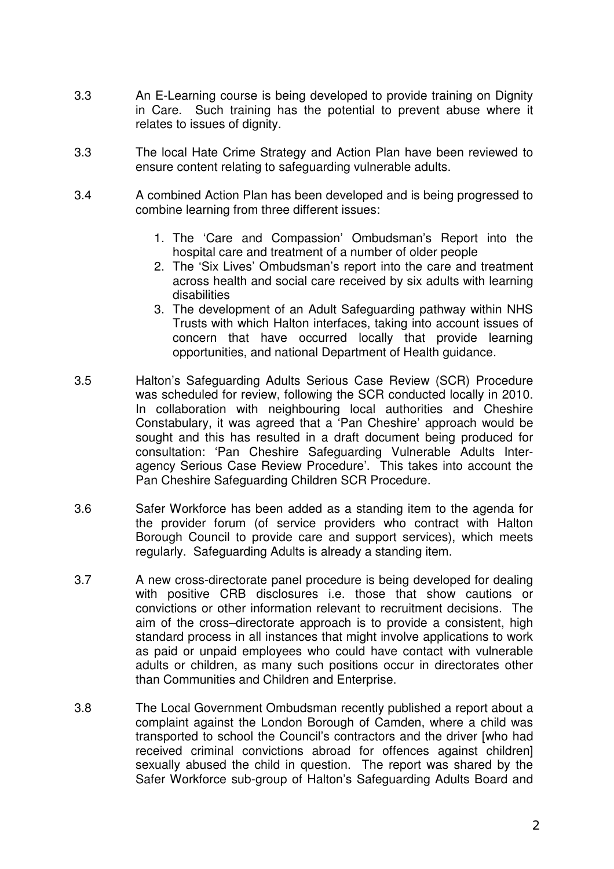- 3.3 An E-Learning course is being developed to provide training on Dignity in Care. Such training has the potential to prevent abuse where it relates to issues of dignity.
- 3.3 The local Hate Crime Strategy and Action Plan have been reviewed to ensure content relating to safeguarding vulnerable adults.
- 3.4 A combined Action Plan has been developed and is being progressed to combine learning from three different issues:
	- 1. The 'Care and Compassion' Ombudsman's Report into the hospital care and treatment of a number of older people
	- 2. The 'Six Lives' Ombudsman's report into the care and treatment across health and social care received by six adults with learning disabilities
	- 3. The development of an Adult Safeguarding pathway within NHS Trusts with which Halton interfaces, taking into account issues of concern that have occurred locally that provide learning opportunities, and national Department of Health guidance.
- 3.5 Halton's Safeguarding Adults Serious Case Review (SCR) Procedure was scheduled for review, following the SCR conducted locally in 2010. In collaboration with neighbouring local authorities and Cheshire Constabulary, it was agreed that a 'Pan Cheshire' approach would be sought and this has resulted in a draft document being produced for consultation: 'Pan Cheshire Safeguarding Vulnerable Adults Interagency Serious Case Review Procedure'. This takes into account the Pan Cheshire Safeguarding Children SCR Procedure.
- 3.6 Safer Workforce has been added as a standing item to the agenda for the provider forum (of service providers who contract with Halton Borough Council to provide care and support services), which meets regularly. Safeguarding Adults is already a standing item.
- 3.7 A new cross-directorate panel procedure is being developed for dealing with positive CRB disclosures i.e. those that show cautions or convictions or other information relevant to recruitment decisions. The aim of the cross–directorate approach is to provide a consistent, high standard process in all instances that might involve applications to work as paid or unpaid employees who could have contact with vulnerable adults or children, as many such positions occur in directorates other than Communities and Children and Enterprise.
- 3.8 The Local Government Ombudsman recently published a report about a complaint against the London Borough of Camden, where a child was transported to school the Council's contractors and the driver [who had received criminal convictions abroad for offences against children] sexually abused the child in question. The report was shared by the Safer Workforce sub-group of Halton's Safeguarding Adults Board and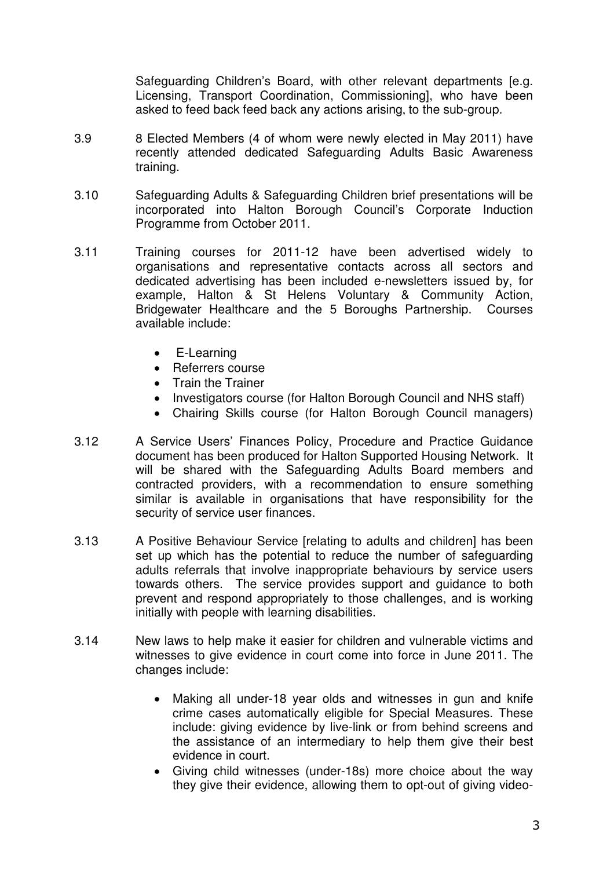Safeguarding Children's Board, with other relevant departments [e.g. Licensing, Transport Coordination, Commissioning], who have been asked to feed back feed back any actions arising, to the sub-group.

- 3.9 8 Elected Members (4 of whom were newly elected in May 2011) have recently attended dedicated Safeguarding Adults Basic Awareness training.
- 3.10 Safeguarding Adults & Safeguarding Children brief presentations will be incorporated into Halton Borough Council's Corporate Induction Programme from October 2011.
- 3.11 Training courses for 2011-12 have been advertised widely to organisations and representative contacts across all sectors and dedicated advertising has been included e-newsletters issued by, for example, Halton & St Helens Voluntary & Community Action, Bridgewater Healthcare and the 5 Boroughs Partnership. Courses available include:
	- E-Learning
	- Referrers course
	- Train the Trainer
	- Investigators course (for Halton Borough Council and NHS staff)
	- Chairing Skills course (for Halton Borough Council managers)
- 3.12 A Service Users' Finances Policy, Procedure and Practice Guidance document has been produced for Halton Supported Housing Network. It will be shared with the Safeguarding Adults Board members and contracted providers, with a recommendation to ensure something similar is available in organisations that have responsibility for the security of service user finances.
- 3.13 A Positive Behaviour Service [relating to adults and children] has been set up which has the potential to reduce the number of safeguarding adults referrals that involve inappropriate behaviours by service users towards others. The service provides support and guidance to both prevent and respond appropriately to those challenges, and is working initially with people with learning disabilities.
- 3.14 New laws to help make it easier for children and vulnerable victims and witnesses to give evidence in court come into force in June 2011. The changes include:
	- Making all under-18 year olds and witnesses in gun and knife crime cases automatically eligible for Special Measures. These include: giving evidence by live-link or from behind screens and the assistance of an intermediary to help them give their best evidence in court.
	- Giving child witnesses (under-18s) more choice about the way they give their evidence, allowing them to opt-out of giving video-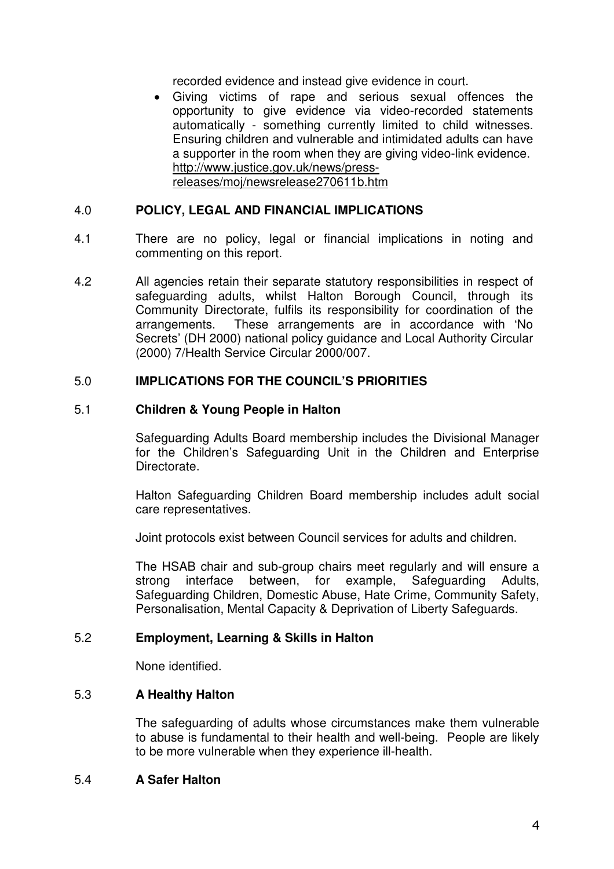recorded evidence and instead give evidence in court.

• Giving victims of rape and serious sexual offences the opportunity to give evidence via video-recorded statements automatically - something currently limited to child witnesses. Ensuring children and vulnerable and intimidated adults can have a supporter in the room when they are giving video-link evidence. http://www.justice.gov.uk/news/pressreleases/moj/newsrelease270611b.htm

## 4.0 **POLICY, LEGAL AND FINANCIAL IMPLICATIONS**

- 4.1 There are no policy, legal or financial implications in noting and commenting on this report.
- 4.2 All agencies retain their separate statutory responsibilities in respect of safeguarding adults, whilst Halton Borough Council, through its Community Directorate, fulfils its responsibility for coordination of the arrangements. These arrangements are in accordance with 'No Secrets' (DH 2000) national policy guidance and Local Authority Circular (2000) 7/Health Service Circular 2000/007.

### 5.0 **IMPLICATIONS FOR THE COUNCIL'S PRIORITIES**

### 5.1 **Children & Young People in Halton**

Safeguarding Adults Board membership includes the Divisional Manager for the Children's Safeguarding Unit in the Children and Enterprise Directorate.

Halton Safeguarding Children Board membership includes adult social care representatives.

Joint protocols exist between Council services for adults and children.

The HSAB chair and sub-group chairs meet regularly and will ensure a strong interface between, for example, Safeguarding Adults, Safeguarding Children, Domestic Abuse, Hate Crime, Community Safety, Personalisation, Mental Capacity & Deprivation of Liberty Safeguards.

### 5.2 **Employment, Learning & Skills in Halton**

None identified.

# 5.3 **A Healthy Halton**

The safeguarding of adults whose circumstances make them vulnerable to abuse is fundamental to their health and well-being. People are likely to be more vulnerable when they experience ill-health.

### 5.4 **A Safer Halton**